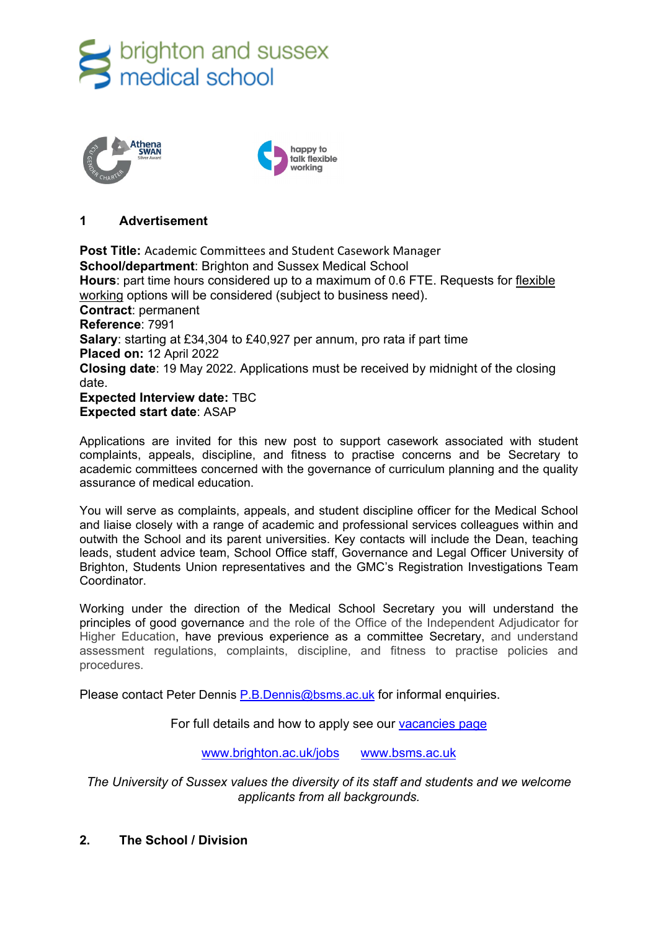



# **1 Advertisement**

**Post Title:** Academic Committees and Student Casework Manager **School/department**: Brighton and Sussex Medical School **Hours**: part time hours considered up to a maximum of 0.6 FTE. Requests for [flexible](http://www.sussex.ac.uk/humanresources/personnel/flexible-working)  [working](http://www.sussex.ac.uk/humanresources/personnel/flexible-working) options will be considered (subject to business need). **Contract**: permanent **Reference**: 7991 **Salary**: starting at £34,304 to £40,927 per annum, pro rata if part time **Placed on:** 12 April 2022 **Closing date**: 19 May 2022. Applications must be received by midnight of the closing date. **Expected Interview date:** TBC **Expected start date**: ASAP

Applications are invited for this new post to support casework associated with student complaints, appeals, discipline, and fitness to practise concerns and be Secretary to academic committees concerned with the governance of curriculum planning and the quality assurance of medical education.

You will serve as complaints, appeals, and student discipline officer for the Medical School and liaise closely with a range of academic and professional services colleagues within and outwith the School and its parent universities. Key contacts will include the Dean, teaching leads, student advice team, School Office staff, Governance and Legal Officer University of Brighton, Students Union representatives and the GMC's Registration Investigations Team Coordinator.

Working under the direction of the Medical School Secretary you will understand the principles of good governance and the role of the Office of the Independent Adjudicator for Higher Education, have previous experience as a committee Secretary, and understand assessment regulations, complaints, discipline, and fitness to practise policies and procedures.

Please contact Peter Dennis [P.B.Dennis@bsms.ac.uk](mailto:P.B.Dennis@bsms.ac.uk) for informal enquiries.

For full details and how to apply see our [vacancies page](http://www.sussex.ac.uk/about/jobs)

[www.brighton.ac.uk/jobs](http://www.brighton.ac.uk/jobs) [www.bsms.ac.uk](http://www.bsms.ac.uk/)

*The University of Sussex values the diversity of its staff and students and we welcome applicants from all backgrounds.*

# **2. The School / Division**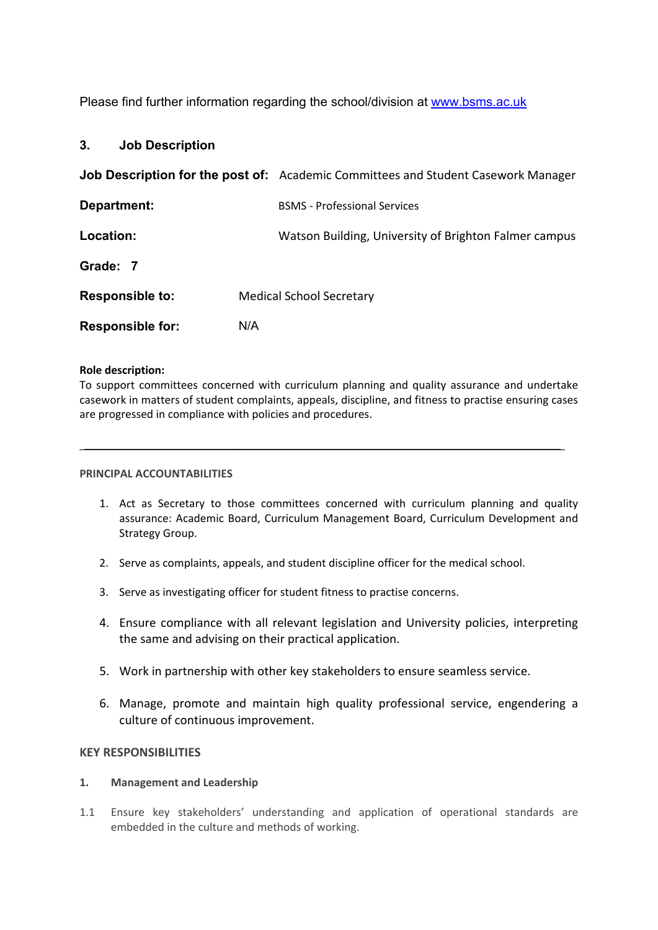Please find further information regarding the school/division at [www.bsms.ac.uk](http://www.bsms.ac.uk/)

## **3. Job Description**

**Job Description for the post of:** Academic Committees and Student Casework Manager

| Department:             | <b>BSMS</b> - Professional Services                   |
|-------------------------|-------------------------------------------------------|
| Location:               | Watson Building, University of Brighton Falmer campus |
| Grade: 7                |                                                       |
| <b>Responsible to:</b>  | <b>Medical School Secretary</b>                       |
| <b>Responsible for:</b> | N/A                                                   |

#### **Role description:**

To support committees concerned with curriculum planning and quality assurance and undertake casework in matters of student complaints, appeals, discipline, and fitness to practise ensuring cases are progressed in compliance with policies and procedures.

\_\_\_\_\_\_\_\_\_\_\_\_\_\_\_\_\_\_\_\_\_\_\_\_\_\_\_\_\_\_\_\_\_\_\_\_\_\_\_\_\_\_\_\_\_\_\_\_\_\_\_\_\_\_\_\_\_\_\_\_\_\_\_\_\_\_\_\_\_\_\_\_\_\_\_\_\_\_\_

#### **PRINCIPAL ACCOUNTABILITIES**

- 1. Act as Secretary to those committees concerned with curriculum planning and quality assurance: Academic Board, Curriculum Management Board, Curriculum Development and Strategy Group.
- 2. Serve as complaints, appeals, and student discipline officer for the medical school.
- 3. Serve as investigating officer for student fitness to practise concerns.
- 4. Ensure compliance with all relevant legislation and University policies, interpreting the same and advising on their practical application.
- 5. Work in partnership with other key stakeholders to ensure seamless service.
- 6. Manage, promote and maintain high quality professional service, engendering a culture of continuous improvement.

#### **KEY RESPONSIBILITIES**

#### **1. Management and Leadership**

1.1 Ensure key stakeholders' understanding and application of operational standards are embedded in the culture and methods of working.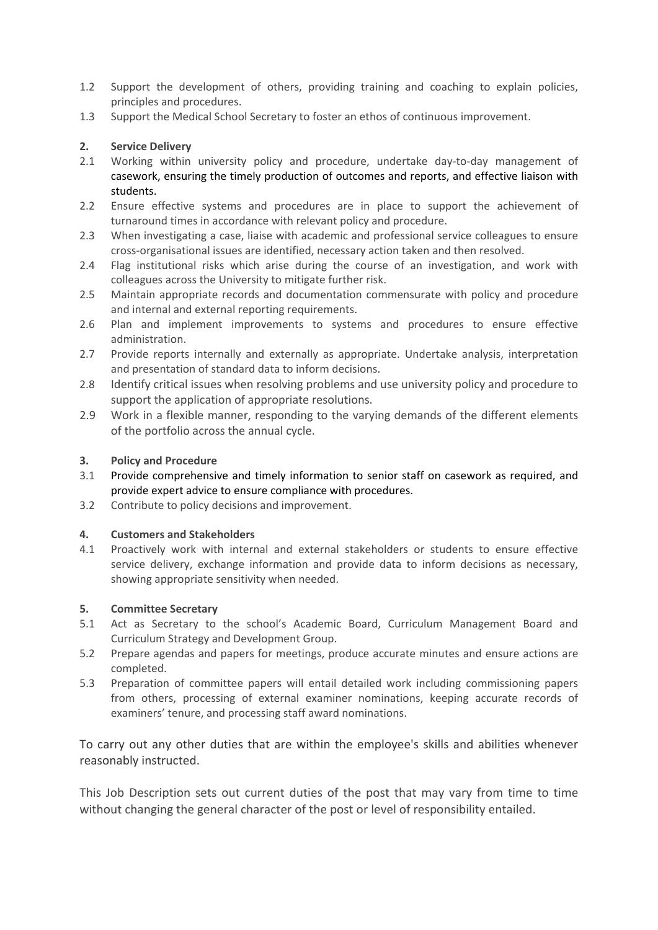- 1.2 Support the development of others, providing training and coaching to explain policies, principles and procedures.
- 1.3 Support the Medical School Secretary to foster an ethos of continuous improvement.

## **2. Service Delivery**

- 2.1 Working within university policy and procedure, undertake day-to-day management of casework, ensuring the timely production of outcomes and reports, and effective liaison with students.
- 2.2 Ensure effective systems and procedures are in place to support the achievement of turnaround times in accordance with relevant policy and procedure.
- 2.3 When investigating a case, liaise with academic and professional service colleagues to ensure cross-organisational issues are identified, necessary action taken and then resolved.
- 2.4 Flag institutional risks which arise during the course of an investigation, and work with colleagues across the University to mitigate further risk.
- 2.5 Maintain appropriate records and documentation commensurate with policy and procedure and internal and external reporting requirements.
- 2.6 Plan and implement improvements to systems and procedures to ensure effective administration.
- 2.7 Provide reports internally and externally as appropriate. Undertake analysis, interpretation and presentation of standard data to inform decisions.
- 2.8 Identify critical issues when resolving problems and use university policy and procedure to support the application of appropriate resolutions.
- 2.9 Work in a flexible manner, responding to the varying demands of the different elements of the portfolio across the annual cycle.

## **3. Policy and Procedure**

- 3.1 Provide comprehensive and timely information to senior staff on casework as required, and provide expert advice to ensure compliance with procedures.
- 3.2 Contribute to policy decisions and improvement.

#### **4. Customers and Stakeholders**

4.1 Proactively work with internal and external stakeholders or students to ensure effective service delivery, exchange information and provide data to inform decisions as necessary, showing appropriate sensitivity when needed.

#### **5. Committee Secretary**

- 5.1 Act as Secretary to the school's Academic Board, Curriculum Management Board and Curriculum Strategy and Development Group.
- 5.2 Prepare agendas and papers for meetings, produce accurate minutes and ensure actions are completed.
- 5.3 Preparation of committee papers will entail detailed work including commissioning papers from others, processing of external examiner nominations, keeping accurate records of examiners' tenure, and processing staff award nominations.

To carry out any other duties that are within the employee's skills and abilities whenever reasonably instructed.

This Job Description sets out current duties of the post that may vary from time to time without changing the general character of the post or level of responsibility entailed.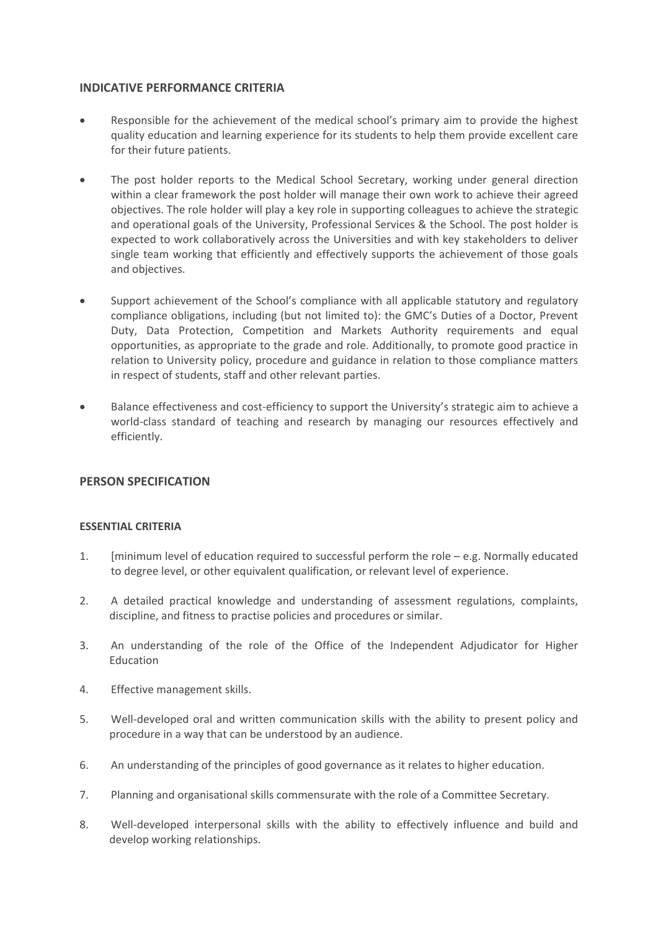## **INDICATIVE PERFORMANCE CRITERIA**

- Responsible for the achievement of the medical school's primary aim to provide the highest quality education and learning experience for its students to help them provide excellent care for their future patients.
- The post holder reports to the Medical School Secretary, working under general direction within a clear framework the post holder will manage their own work to achieve their agreed objectives. The role holder will play a key role in supporting colleagues to achieve the strategic and operational goals of the University, Professional Services & the School. The post holder is expected to work collaboratively across the Universities and with key stakeholders to deliver single team working that efficiently and effectively supports the achievement of those goals and objectives.
- Support achievement of the School's compliance with all applicable statutory and regulatory compliance obligations, including (but not limited to): the GMC's Duties of a Doctor, Prevent Duty, Data Protection, Competition and Markets Authority requirements and equal opportunities, as appropriate to the grade and role. Additionally, to promote good practice in relation to University policy, procedure and guidance in relation to those compliance matters in respect of students, staff and other relevant parties.
- Balance effectiveness and cost-efficiency to support the University's strategic aim to achieve a world-class standard of teaching and research by managing our resources effectively and efficiently.

## **PERSON SPECIFICATION**

#### **ESSENTIAL CRITERIA**

- 1. [minimum level of education required to successful perform the role e.g. Normally educated to degree level, or other equivalent qualification, or relevant level of experience.
- 2. A detailed practical knowledge and understanding of assessment regulations, complaints, discipline, and fitness to practise policies and procedures or similar.
- 3. An understanding of the role of the Office of the Independent Adjudicator for Higher **Education**
- 4. Effective management skills.
- 5. Well-developed oral and written communication skills with the ability to present policy and procedure in a way that can be understood by an audience.
- 6. An understanding of the principles of good governance as it relates to higher education.
- 7. Planning and organisational skills commensurate with the role of a Committee Secretary.
- 8. Well-developed interpersonal skills with the ability to effectively influence and build and develop working relationships.